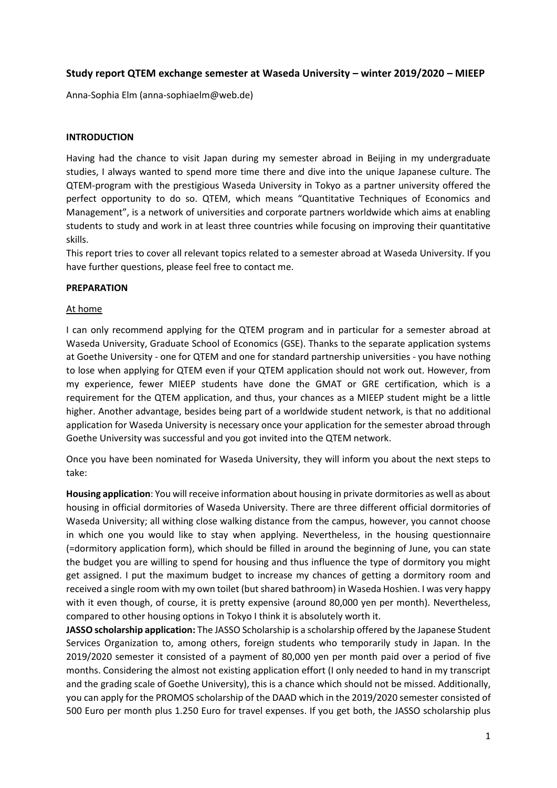# **Study report QTEM exchange semester at Waseda University – winter 2019/2020 – MIEEP**

Anna-Sophia Elm (anna-sophiaelm@web.de)

### **INTRODUCTION**

Having had the chance to visit Japan during my semester abroad in Beijing in my undergraduate studies, I always wanted to spend more time there and dive into the unique Japanese culture. The QTEM-program with the prestigious Waseda University in Tokyo as a partner university offered the perfect opportunity to do so. QTEM, which means "Quantitative Techniques of Economics and Management", is a network of universities and corporate partners worldwide which aims at enabling students to study and work in at least three countries while focusing on improving their quantitative skills.

This report tries to cover all relevant topics related to a semester abroad at Waseda University. If you have further questions, please feel free to contact me.

#### **PREPARATION**

#### At home

I can only recommend applying for the QTEM program and in particular for a semester abroad at Waseda University, Graduate School of Economics (GSE). Thanks to the separate application systems at Goethe University - one for QTEM and one for standard partnership universities - you have nothing to lose when applying for QTEM even if your QTEM application should not work out. However, from my experience, fewer MIEEP students have done the GMAT or GRE certification, which is a requirement for the QTEM application, and thus, your chances as a MIEEP student might be a little higher. Another advantage, besides being part of a worldwide student network, is that no additional application for Waseda University is necessary once your application for the semester abroad through Goethe University was successful and you got invited into the QTEM network.

Once you have been nominated for Waseda University, they will inform you about the next steps to take:

**Housing application**: You will receive information about housing in private dormitories as well as about housing in official dormitories of Waseda University. There are three different official dormitories of Waseda University; all withing close walking distance from the campus, however, you cannot choose in which one you would like to stay when applying. Nevertheless, in the housing questionnaire (=dormitory application form), which should be filled in around the beginning of June, you can state the budget you are willing to spend for housing and thus influence the type of dormitory you might get assigned. I put the maximum budget to increase my chances of getting a dormitory room and received a single room with my own toilet (but shared bathroom) in Waseda Hoshien. I was very happy with it even though, of course, it is pretty expensive (around 80,000 yen per month). Nevertheless, compared to other housing options in Tokyo I think it is absolutely worth it.

**JASSO scholarship application:** The JASSO Scholarship is a scholarship offered by the Japanese Student Services Organization to, among others, foreign students who temporarily study in Japan. In the 2019/2020 semester it consisted of a payment of 80,000 yen per month paid over a period of five months. Considering the almost not existing application effort (I only needed to hand in my transcript and the grading scale of Goethe University), this is a chance which should not be missed. Additionally, you can apply for the PROMOS scholarship of the DAAD which in the 2019/2020 semester consisted of 500 Euro per month plus 1.250 Euro for travel expenses. If you get both, the JASSO scholarship plus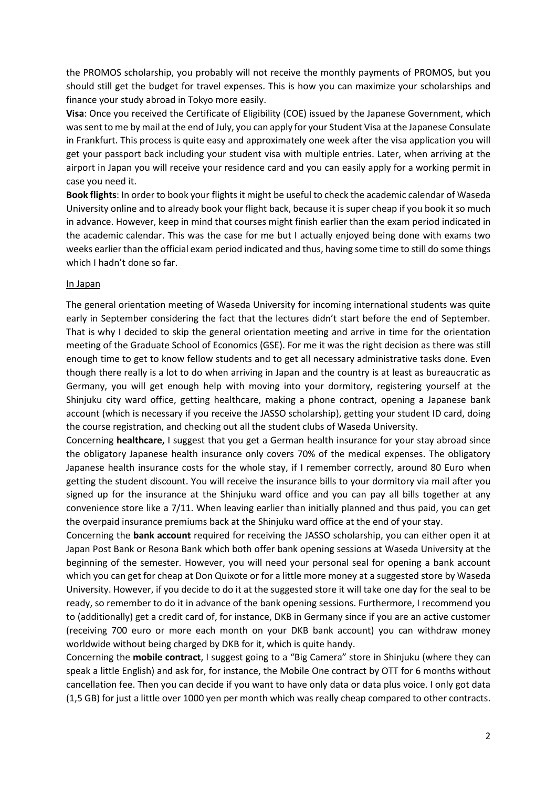the PROMOS scholarship, you probably will not receive the monthly payments of PROMOS, but you should still get the budget for travel expenses. This is how you can maximize your scholarships and finance your study abroad in Tokyo more easily.

**Visa**: Once you received the Certificate of Eligibility (COE) issued by the Japanese Government, which was sent to me by mail at the end of July, you can apply for your Student Visa at the Japanese Consulate in Frankfurt. This process is quite easy and approximately one week after the visa application you will get your passport back including your student visa with multiple entries. Later, when arriving at the airport in Japan you will receive your residence card and you can easily apply for a working permit in case you need it.

**Book flights**: In order to book your flights it might be useful to check the academic calendar of Waseda University online and to already book your flight back, because it is super cheap if you book it so much in advance. However, keep in mind that courses might finish earlier than the exam period indicated in the academic calendar. This was the case for me but I actually enjoyed being done with exams two weeks earlier than the official exam period indicated and thus, having some time to still do some things which I hadn't done so far.

#### In Japan

The general orientation meeting of Waseda University for incoming international students was quite early in September considering the fact that the lectures didn't start before the end of September. That is why I decided to skip the general orientation meeting and arrive in time for the orientation meeting of the Graduate School of Economics (GSE). For me it was the right decision as there was still enough time to get to know fellow students and to get all necessary administrative tasks done. Even though there really is a lot to do when arriving in Japan and the country is at least as bureaucratic as Germany, you will get enough help with moving into your dormitory, registering yourself at the Shinjuku city ward office, getting healthcare, making a phone contract, opening a Japanese bank account (which is necessary if you receive the JASSO scholarship), getting your student ID card, doing the course registration, and checking out all the student clubs of Waseda University.

Concerning **healthcare,** I suggest that you get a German health insurance for your stay abroad since the obligatory Japanese health insurance only covers 70% of the medical expenses. The obligatory Japanese health insurance costs for the whole stay, if I remember correctly, around 80 Euro when getting the student discount. You will receive the insurance bills to your dormitory via mail after you signed up for the insurance at the Shinjuku ward office and you can pay all bills together at any convenience store like a 7/11. When leaving earlier than initially planned and thus paid, you can get the overpaid insurance premiums back at the Shinjuku ward office at the end of your stay.

Concerning the **bank account** required for receiving the JASSO scholarship, you can either open it at Japan Post Bank or Resona Bank which both offer bank opening sessions at Waseda University at the beginning of the semester. However, you will need your personal seal for opening a bank account which you can get for cheap at Don Quixote or for a little more money at a suggested store by Waseda University. However, if you decide to do it at the suggested store it will take one day for the seal to be ready, so remember to do it in advance of the bank opening sessions. Furthermore, I recommend you to (additionally) get a credit card of, for instance, DKB in Germany since if you are an active customer (receiving 700 euro or more each month on your DKB bank account) you can withdraw money worldwide without being charged by DKB for it, which is quite handy.

Concerning the **mobile contract**, I suggest going to a "Big Camera" store in Shinjuku (where they can speak a little English) and ask for, for instance, the Mobile One contract by OTT for 6 months without cancellation fee. Then you can decide if you want to have only data or data plus voice. I only got data (1,5 GB) for just a little over 1000 yen per month which was really cheap compared to other contracts.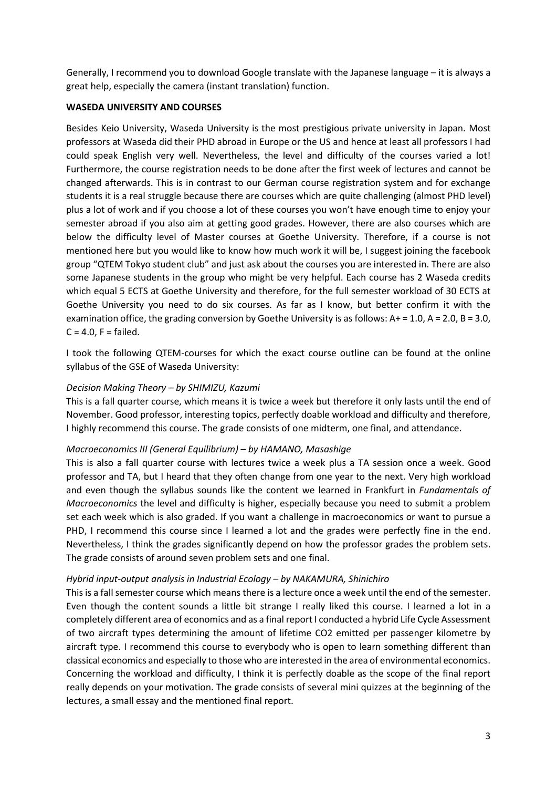Generally, I recommend you to download Google translate with the Japanese language – it is always a great help, especially the camera (instant translation) function.

## **WASEDA UNIVERSITY AND COURSES**

Besides Keio University, Waseda University is the most prestigious private university in Japan. Most professors at Waseda did their PHD abroad in Europe or the US and hence at least all professors I had could speak English very well. Nevertheless, the level and difficulty of the courses varied a lot! Furthermore, the course registration needs to be done after the first week of lectures and cannot be changed afterwards. This is in contrast to our German course registration system and for exchange students it is a real struggle because there are courses which are quite challenging (almost PHD level) plus a lot of work and if you choose a lot of these courses you won't have enough time to enjoy your semester abroad if you also aim at getting good grades. However, there are also courses which are below the difficulty level of Master courses at Goethe University. Therefore, if a course is not mentioned here but you would like to know how much work it will be, I suggest joining the facebook group "QTEM Tokyo student club" and just ask about the courses you are interested in. There are also some Japanese students in the group who might be very helpful. Each course has 2 Waseda credits which equal 5 ECTS at Goethe University and therefore, for the full semester workload of 30 ECTS at Goethe University you need to do six courses. As far as I know, but better confirm it with the examination office, the grading conversion by Goethe University is as follows:  $A+ = 1.0$ ,  $A = 2.0$ ,  $B = 3.0$ ,  $C = 4.0$ ,  $F = \text{failed}$ .

I took the following QTEM-courses for which the exact course outline can be found at the online syllabus of the GSE of Waseda University:

### *Decision Making Theory – by SHIMIZU, Kazumi*

This is a fall quarter course, which means it is twice a week but therefore it only lasts until the end of November. Good professor, interesting topics, perfectly doable workload and difficulty and therefore, I highly recommend this course. The grade consists of one midterm, one final, and attendance.

#### *Macroeconomics III (General Equilibrium) – by HAMANO, Masashige*

This is also a fall quarter course with lectures twice a week plus a TA session once a week. Good professor and TA, but I heard that they often change from one year to the next. Very high workload and even though the syllabus sounds like the content we learned in Frankfurt in *Fundamentals of Macroeconomics* the level and difficulty is higher, especially because you need to submit a problem set each week which is also graded. If you want a challenge in macroeconomics or want to pursue a PHD, I recommend this course since I learned a lot and the grades were perfectly fine in the end. Nevertheless, I think the grades significantly depend on how the professor grades the problem sets. The grade consists of around seven problem sets and one final.

#### *Hybrid input-output analysis in Industrial Ecology – by NAKAMURA, Shinichiro*

This is a fall semester course which means there is a lecture once a week until the end of the semester. Even though the content sounds a little bit strange I really liked this course. I learned a lot in a completely different area of economics and as a final report I conducted a hybrid Life Cycle Assessment of two aircraft types determining the amount of lifetime CO2 emitted per passenger kilometre by aircraft type. I recommend this course to everybody who is open to learn something different than classical economics and especially to those who are interested in the area of environmental economics. Concerning the workload and difficulty, I think it is perfectly doable as the scope of the final report really depends on your motivation. The grade consists of several mini quizzes at the beginning of the lectures, a small essay and the mentioned final report.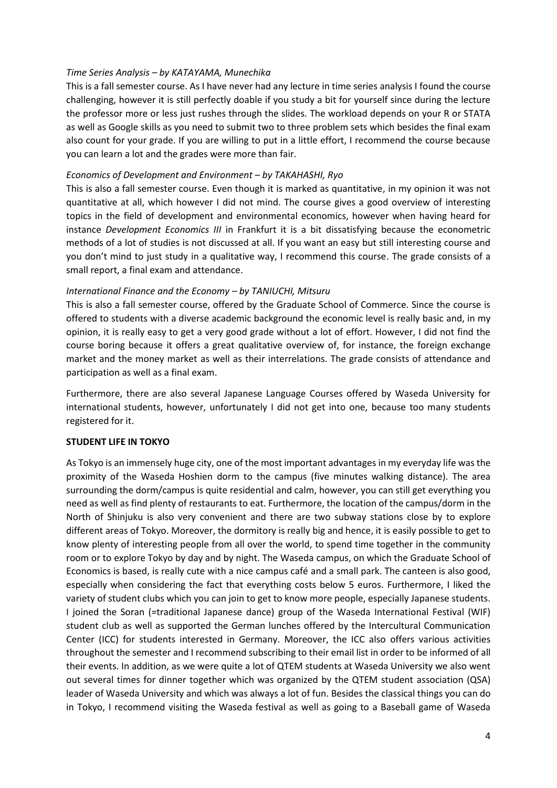## *Time Series Analysis – by KATAYAMA, Munechika*

This is a fall semester course. As I have never had any lecture in time series analysis I found the course challenging, however it is still perfectly doable if you study a bit for yourself since during the lecture the professor more or less just rushes through the slides. The workload depends on your R or STATA as well as Google skills as you need to submit two to three problem sets which besides the final exam also count for your grade. If you are willing to put in a little effort, I recommend the course because you can learn a lot and the grades were more than fair.

### *Economics of Development and Environment – by TAKAHASHI, Ryo*

This is also a fall semester course. Even though it is marked as quantitative, in my opinion it was not quantitative at all, which however I did not mind. The course gives a good overview of interesting topics in the field of development and environmental economics, however when having heard for instance *Development Economics III* in Frankfurt it is a bit dissatisfying because the econometric methods of a lot of studies is not discussed at all. If you want an easy but still interesting course and you don't mind to just study in a qualitative way, I recommend this course. The grade consists of a small report, a final exam and attendance.

### *International Finance and the Economy – by TANIUCHI, Mitsuru*

This is also a fall semester course, offered by the Graduate School of Commerce. Since the course is offered to students with a diverse academic background the economic level is really basic and, in my opinion, it is really easy to get a very good grade without a lot of effort. However, I did not find the course boring because it offers a great qualitative overview of, for instance, the foreign exchange market and the money market as well as their interrelations. The grade consists of attendance and participation as well as a final exam.

Furthermore, there are also several Japanese Language Courses offered by Waseda University for international students, however, unfortunately I did not get into one, because too many students registered for it.

# **STUDENT LIFE IN TOKYO**

As Tokyo is an immensely huge city, one of the most important advantages in my everyday life was the proximity of the Waseda Hoshien dorm to the campus (five minutes walking distance). The area surrounding the dorm/campus is quite residential and calm, however, you can still get everything you need as well as find plenty of restaurants to eat. Furthermore, the location of the campus/dorm in the North of Shinjuku is also very convenient and there are two subway stations close by to explore different areas of Tokyo. Moreover, the dormitory is really big and hence, it is easily possible to get to know plenty of interesting people from all over the world, to spend time together in the community room or to explore Tokyo by day and by night. The Waseda campus, on which the Graduate School of Economics is based, is really cute with a nice campus café and a small park. The canteen is also good, especially when considering the fact that everything costs below 5 euros. Furthermore, I liked the variety of student clubs which you can join to get to know more people, especially Japanese students. I joined the Soran (=traditional Japanese dance) group of the Waseda International Festival (WIF) student club as well as supported the German lunches offered by the Intercultural Communication Center (ICC) for students interested in Germany. Moreover, the ICC also offers various activities throughout the semester and I recommend subscribing to their email list in order to be informed of all their events. In addition, as we were quite a lot of QTEM students at Waseda University we also went out several times for dinner together which was organized by the QTEM student association (QSA) leader of Waseda University and which was always a lot of fun. Besides the classical things you can do in Tokyo, I recommend visiting the Waseda festival as well as going to a Baseball game of Waseda